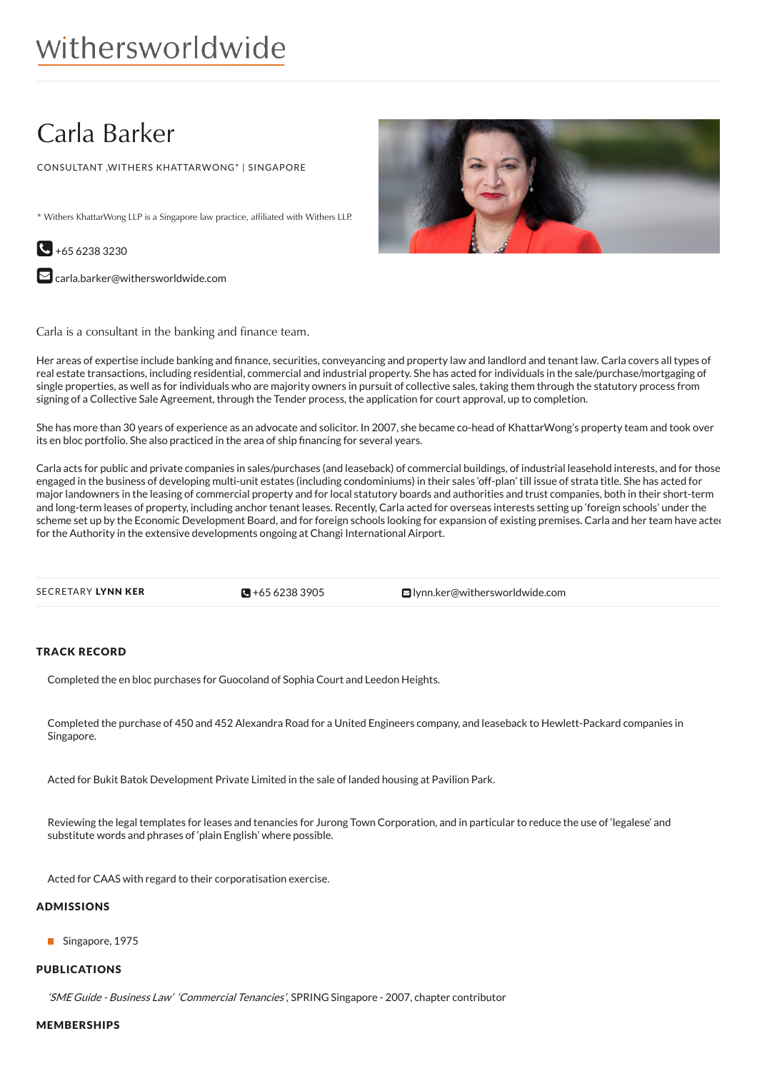# Carla Barker

CONSULTANT ,WITHERS KHATTARWONG\* | SINGAPORE

\* Withers KhattarWong LLP is a Singapore law practice, affiliated with Withers LLP.



 $\blacktriangleright$  [carla.barker@withersworldwide.com](mailto:carla.barker@withersworldwide.com?subject=Website Enquiry - Profile Page)

Carla is a consultant in the banking and finance team.

Her areas of expertise include banking and 'nance, securities, conveyancing and property law and landlord and tenant law. Carla covers all types of real estate transactions, including residential, commercial and industrial property. She has acted for individuals in the sale/purchase/mortgaging of single properties, as well as for individuals who are majority owners in pursuit of collective sales, taking them through the statutory process from signing of a Collective Sale Agreement, through the Tender process, the application for court approval, up to completion.

She has more than 30 years of experience as an advocate and solicitor. In 2007, she became co-head of KhattarWong's property team and took over its en bloc portfolio. She also practiced in the area of ship financing for several years.

Carla acts for public and private companies in sales/purchases (and leaseback) of commercial buildings, of industrial leasehold interests, and for those engaged in the business of developing multi-unit estates (including condominiums) in their sales 'off-plan' till issue of strata title. She has acted for major landowners in the leasing of commercial property and for local statutory boards and authorities and trust companies, both in their short-term and long-term leases of property, including anchor tenant leases. Recently, Carla acted for overseas interests setting up 'foreign schools' under the scheme set up by the Economic Development Board, and for foreign schools looking for expansion of existing premises. Carla and her team have acted for the Authority in the extensive developments ongoing at Changi International Airport.

 $\bullet$  +65 6238 3905

SECRETARY LYNN KER **+65 [6238](tel:+65 6238 3905) 3905** [lynn.ker@withersworldwide.com](mailto:lynn.ker@withersworldwide.com)

## TRACK RECORD

Completed the en bloc purchases for Guocoland of Sophia Court and Leedon Heights.

Completed the purchase of 450 and 452 Alexandra Road for a United Engineers company, and leaseback to Hewlett-Packard companies in Singapore.

Acted for Bukit Batok Development Private Limited in the sale of landed housing at Pavilion Park.

Reviewing the legal templates for leases and tenancies for Jurong Town Corporation, and in particular to reduce the use of 'legalese' and substitute words and phrases of 'plain English' where possible.

Acted for CAAS with regard to their corporatisation exercise.

#### ADMISSIONS

Singapore, 1975

#### PUBLICATIONS

'SME Guide - Business Law' 'Commercial Tenancies', SPRING Singapore - 2007, chapter contributor

### MEMBERSHIPS